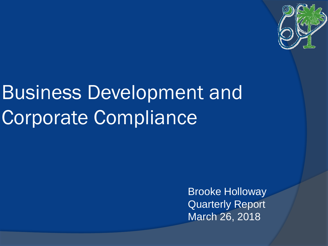

# Business Development and Corporate Compliance

Brooke Holloway Quarterly Report March 26, 2018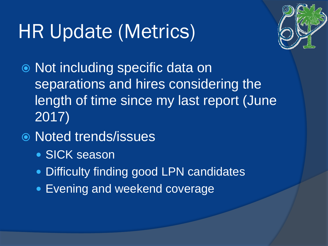## HR Update (Metrics)



 Not including specific data on separations and hires considering the length of time since my last report (June 2017)

#### Noted trends/issues

- SICK season
- Difficulty finding good LPN candidates
- Evening and weekend coverage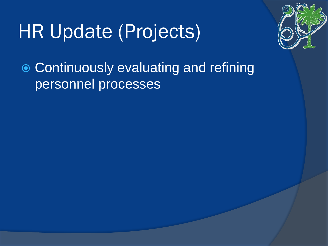## HR Update (Projects)



 Continuously evaluating and refining personnel processes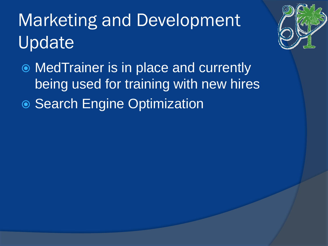## Marketing and Development Update



 MedTrainer is in place and currently being used for training with new hires ● Search Engine Optimization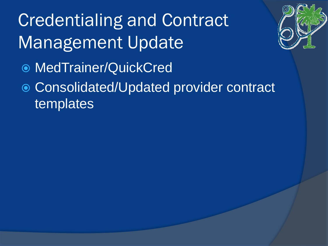## Credentialing and Contract Management Update

MedTrainer/QuickCred

#### Consolidated/Updated provider contract **templates**

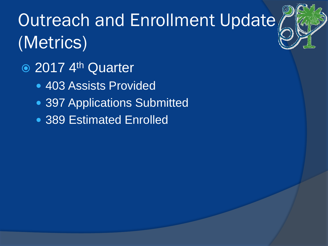## Outreach and Enrollment Update (Metrics)

- 2017 4<sup>th</sup> Quarter
	- 403 Assists Provided
	- 397 Applications Submitted
	- 389 Estimated Enrolled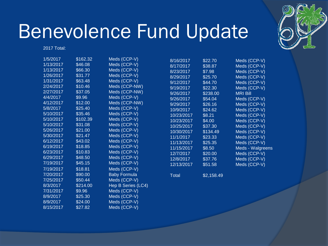

#### Benevolence Fund Update

2017 Total:

| 1/5/2017  | \$162.32 | Meds (CCP-V)        | 8/16/2017  | \$22.70    | Meds (CCP-V)     |
|-----------|----------|---------------------|------------|------------|------------------|
| 1/13/2017 | \$46.08  | Meds (CCP-V)        | 8/17/2017  | \$38.87    | Meds (CCP-V)     |
| 1/13/2017 | \$66.30  | Meds (CCP-V)        | 8/23/2017  | \$7.98     | Meds (CCP-V)     |
| 1/26/2017 | \$31.77  | Meds (CCP-V)        | 8/29/2017  | \$25.70    | Meds (CCP-V)     |
| 1/31/2017 | \$63.48  | Meds (CCP-V)        | 9/12/2017  | \$44.70    | Meds (CCP-V)     |
| 2/24/2017 | \$10.46  | Meds (CCP-NW)       | 9/19/2017  | \$22.30    | Meds (CCP-V)     |
| 2/27/2017 | \$37.05  | Meds (CCP-NW)       | 9/26/2017  | \$238.00   | <b>MRI Bill</b>  |
| 4/4/2017  | \$9.96   | Meds (CCP-V)        | 9/26/2017  | \$54.04    | Meds (CCP-V)     |
| 4/12/2017 | \$12.00  | Meds (CCP-NW)       | 9/29/2017  | \$26.16    | Meds (CCP-V)     |
| 5/8/2017  | \$25.40  | Meds (CCP-V)        | 10/9/2017  | \$24.62    | Meds (CCP-V)     |
| 5/10/2017 | \$35.46  | Meds (CCP-V)        | 10/23/2017 | \$8.21     | Meds (CCP-V)     |
| 5/10/2017 | \$102.39 | Meds (CCP-V)        | 10/23/2017 | \$4.00     | Meds (CCP-V)     |
| 5/10/2017 | \$31.08  | Meds (CCP-V)        | 10/25/2017 | \$37.30    | Meds (CCP-V)     |
| 5/26/2017 | \$21.00  | Meds (CCP-V)        | 10/30/2017 | \$134.49   | Meds (CCP-V)     |
| 5/30/2017 | \$21.47  | Meds (CCP-V)        | 11/1/2017  | \$23.33    | Meds (CCP-V)     |
| 6/12/2017 | \$43.02  | Meds (CCP-V)        | 11/13/2017 | \$25.35    | Meds (CCP-V)     |
| 6/19/2017 | \$18.85  | Meds (CCP-V)        | 11/15/2017 | \$8.50     | Meds - Walgreens |
| 6/23/2017 | \$10.83  | Meds (CCP-V)        | 12/7/2017  | \$20.00    | Meds (CCP-V)     |
| 6/29/2017 | \$48.50  | Meds (CCP-V)        | 12/8/2017  | \$37.76    | Meds (CCP-V)     |
| 7/19/2017 | \$45.15  | Meds (CCP-V)        | 12/13/2017 | \$51.58    | Meds (CCP-V)     |
| 7/19/2017 | \$18.81  | Meds (CCP-V)        |            |            |                  |
| 7/20/2017 | \$90.00  | <b>Baby Formula</b> | Total      | \$2,158.49 |                  |
| 7/25/2017 | \$50.44  | Meds (CCP-V)        |            |            |                  |
| 8/3/2017  | \$214.00 | Hep B Series (LC4)  |            |            |                  |
| 7/31/2017 | \$9.96   | Meds (CCP-V)        |            |            |                  |
| 8/9/2017  | \$25.30  | Meds (CCP-V)        |            |            |                  |
| 8/9/2017  | \$24.00  | Meds (CCP-V)        |            |            |                  |
| 8/15/2017 | \$27.82  | Meds (CCP-V)        |            |            |                  |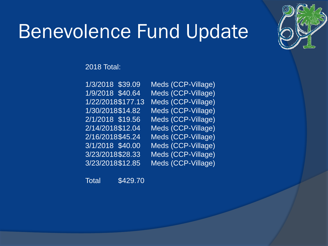

### Benevolence Fund Update

2018 Total:

1/3/2018 \$39.09 Meds (CCP-Village) 1/9/2018 \$40.64 Meds (CCP-Village) 1/22/2018\$177.13 Meds (CCP-Village) 1/30/2018\$14.82 Meds (CCP-Village) 2/1/2018 \$19.56 Meds (CCP-Village) 2/14/2018\$12.04 Meds (CCP-Village) 2/16/2018\$45.24 Meds (CCP-Village) 3/1/2018 \$40.00 Meds (CCP-Village) 3/23/2018\$28.33 Meds (CCP-Village) 3/23/2018\$12.85 Meds (CCP-Village)

Total \$429.70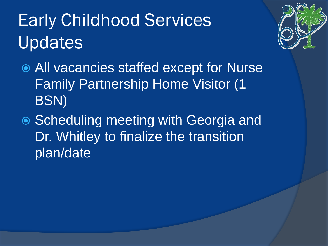## Early Childhood Services Updates



- All vacancies staffed except for Nurse Family Partnership Home Visitor (1 BSN)
- Scheduling meeting with Georgia and Dr. Whitley to finalize the transition plan/date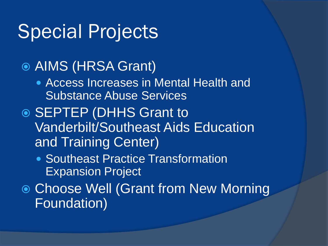### Special Projects

- AIMS (HRSA Grant)
	- Access Increases in Mental Health and Substance Abuse Services
- **◎ SEPTEP (DHHS Grant to** Vanderbilt/Southeast Aids Education and Training Center)
	- Southeast Practice Transformation Expansion Project
- Choose Well (Grant from New Morning Foundation)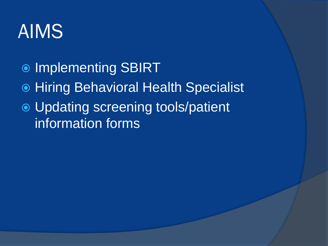#### AIMS

- $\bullet$  Implementing SBIRT
- Hiring Behavioral Health Specialist
- Updating screening tools/patient information forms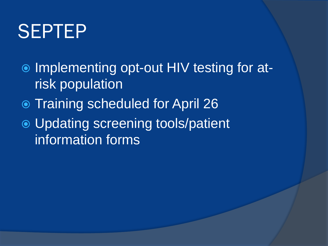### SEPTEP

- **■** Implementing opt-out HIV testing for atrisk population
- Training scheduled for April 26
- Updating screening tools/patient information forms